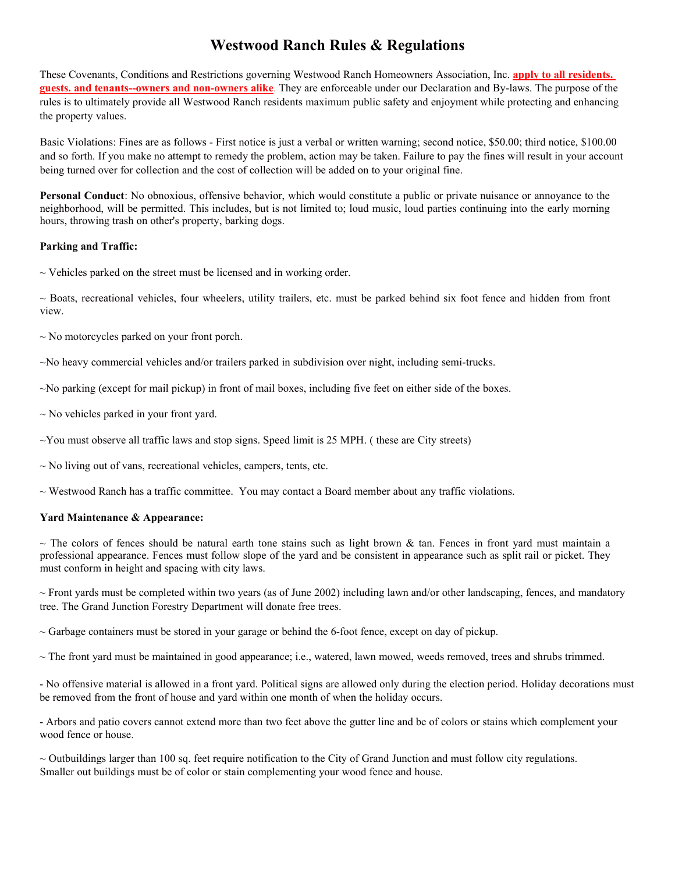# **Westwood Ranch Rules & Regulations**

These Covenants, Conditions and Restrictions governing Westwood Ranch Homeowners Association, Inc. **apply to all residents. guests. and tenants--owners and non-owners alike**. They are enforceable under our Declaration and By-laws. The purpose of the rules is to ultimately provide all Westwood Ranch residents maximum public safety and enjoyment while protecting and enhancing the property values.

Basic Violations: Fines are asfollows - First notice is just a verbal or written warning; second notice, \$50.00; third notice, \$100.00 and so forth. If you make no attempt to remedy the problem, action may be taken. Failure to pay the fines will result in your account being turned over for collection and the cost of collection will be added on to youroriginal fine.

**Personal Conduct**: No obnoxious, offensive behavior, which would constitute a public or private nuisance or annoyance to the neighborhood, will be permitted. This includes, but is not limited to; loud music, loud parties continuing into the early morning hours, throwing trash on other's property, barking dogs.

### **Parking and Traffic:**

 $\sim$  Vehicles parked on the street must be licensed and in working order.

 $\sim$  Boats, recreational vehicles, four wheelers, utility trailers, etc. must be parked behind six foot fence and hidden from front view.

 $\sim$  No motorcycles parked on your front porch.

~No heavy commercial vehicles and/or trailers parked in subdivision over night, including semi-trucks.

~No parking (except for mail pickup) in front of mail boxes, including five feet on either side of the boxes.

~ No vehicles parked in your front yard.

 $\sim$ You must observe all traffic laws and stop signs. Speed limit is 25 MPH. (these are City streets)

 $\sim$  No living out of vans, recreational vehicles, campers, tents, etc.

 $\sim$  Westwood Ranch has a traffic committee. You may contact a Board member about any traffic violations.

#### **Yard Maintenance & Appearance:**

 $\sim$  The colors of fences should be natural earth tone stains such as light brown & tan. Fences in front yard must maintain a professional appearance. Fences must follow slope of the yard and be consistent in appearance such as split rail or picket. They must conform in height and spacing with city laws.

 $\sim$  Front yards must be completed within two years (as of June 2002) including lawn and/or other landscaping, fences, and mandatory tree. The Grand Junction Forestry Department will donate free trees.

 $\sim$  Garbage containers must be stored in your garage or behind the 6-foot fence, except on day of pickup.

 $\sim$  The front yard must be maintained in good appearance; i.e., watered, lawn mowed, weeds removed, trees and shrubs trimmed.

- No offensive material is allowed in a front yard. Political signs are allowed only during the election period. Holiday decorations must be removed from the front of house and yard within one month of when the holiday occurs.

- Arbors and patio covers cannot extend more than two feet above the gutter line and be of colors orstains which complement your wood fence or house.

 $\sim$  Outbuildings larger than 100 sq. feet require notification to the City of Grand Junction and must follow city regulations. Smaller out buildings must be of color or stain complementing your wood fence and house.